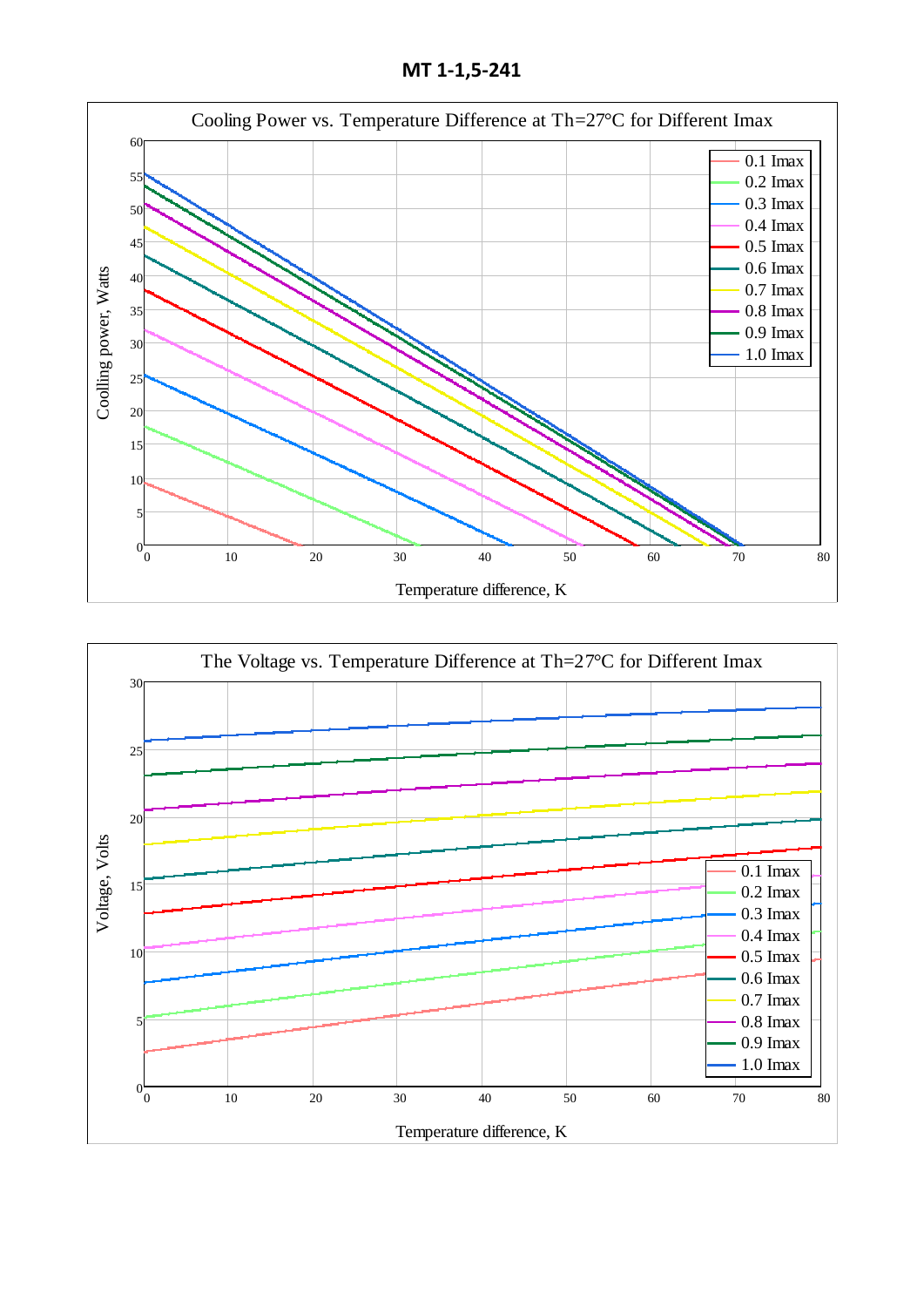**МТ 1-1,5-241**